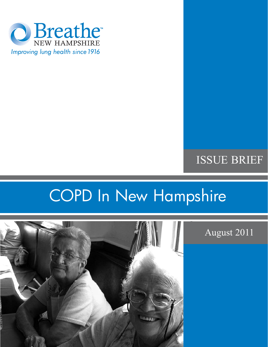

# ISSUE BRIEF

# COPD In New Hampshire



August 2011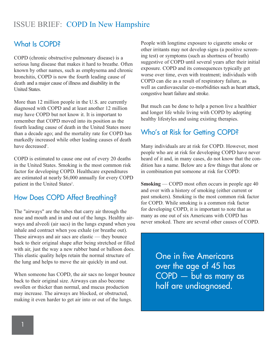# What Is COPD?

COPD (chronic obstructive pulmonary disease) is a serious lung disease that makes it hard to breathe. Often known by other names, such as emphysema and chronic bronchitis, COPD is now the fourth leading cause of death and a major cause of illness and disability in the United States.

More than 12 million people in the U.S. are currently diagnosed with COPD and at least another 12 million may have COPD but not know it. It is important to remember that COPD moved into its position as the fourth leading cause of death in the United States more than a decade ago; and the mortality rate for COPD has markedly increased while other leading causes of death have decreased<sup>1</sup>.

COPD is estimated to cause one out of every 20 deaths in the United States. Smoking is the most common risk factor for developing COPD. Healthcare expenditures are estimated at nearly \$6,000 annually for every COPD patient in the United States<sup>2</sup>.

# How Does COPD Affect Breathing?

The "airways" are the tubes that carry air through the nose and mouth and in and out of the lungs. Healthy airways and alveoli (air sacs) in the lungs expand when you inhale and contract when you exhale (or breathe out). These airways and air sacs are elastic — they bounce back to their original shape after being stretched or filled with air, just the way a new rubber band or balloon does. This elastic quality helps retain the normal structure of the lung and helps to move the air quickly in and out.

When someone has COPD, the air sacs no longer bounce back to their original size. Airways can also become swollen or thicker than normal, and mucus production may increase. The airways are blocked, or obstructed, making it even harder to get air into or out of the lungs.

People with longtime exposure to cigarette smoke or other irritants may not develop signs (a positive screening test) or symptoms (such as shortness of breath) suggestive of COPD until several years after their initial exposure. COPD and its consequences typically get worse over time, even with treatment; individuals with COPD can die as a result of respiratory failure, as well as cardiovascular co-morbidities such as heart attack, congestive heart failure and stroke.

But much can be done to help a person live a healthier and longer life while living with COPD by adopting healthy lifestyles and using existing therapies.

# Who's at Risk for Getting COPD?

Many individuals are at risk for COPD. However, most people who are at risk for developing COPD have never heard of it and, in many cases, do not know that the condition has a name. Below are a few things that alone or in combination put someone at risk for COPD:

**Smoking** — COPD most often occurs in people age 40 and over with a history of smoking (either current or past smokers). Smoking is the most common risk factor for COPD. While smoking is a common risk factor for developing COPD, it is important to note that as many as one out of six Americans with COPD has never smoked. There are several other causes of COPD.

> One in five Americans over the age of 45 has COPD — but as many as half are undiagnosed.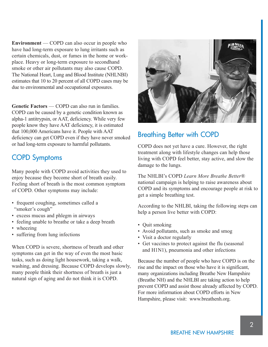**Environment** — COPD can also occur in people who have had long-term exposure to lung irritants such as certain chemicals, dust, or fumes in the home or workplace. Heavy or long-term exposure to secondhand smoke or other air pollutants may also cause COPD. The National Heart, Lung and Blood Institute (NHLNBI) estimates that 10 to 20 percent of all COPD cases may be due to environmental and occupational exposures.

**Genetic Factors** — COPD can also run in families. COPD can be caused by a genetic condition known as alpha-1 antitrypsin, or AAT, deficiency. While very few people know they have AAT deficiency, it is estimated that 100,000 Americans have it. People with AAT deficiency can get COPD even if they have never smoked or had long-term exposure to harmful pollutants.

# COPD Symptoms

Many people with COPD avoid activities they used to enjoy because they become short of breath easily. Feeling short of breath is the most common symptom of COPD. Other symptoms may include:

- frequent coughing, sometimes called a "smoker's cough"
- excess mucus and phlegm in airways
- feeling unable to breathe or take a deep breath
- wheezing
- suffering from lung infections

When COPD is severe, shortness of breath and other symptoms can get in the way of even the most basic tasks, such as doing light housework, taking a walk, washing, and dressing. Because COPD develops slowly, many people think their shortness of breath is just a natural sign of aging and do not think it is COPD.



# Breathing Better with COPD

COPD does not yet have a cure. However, the right treatment along with lifestyle changes can help those living with COPD feel better, stay active, and slow the damage to the lungs.

The NHLBI's COPD *Learn More Breathe Better*® national campaign is helping to raise awareness about COPD and its symptoms and encourage people at risk to get a simple breathing test.

According to the NHLBI, taking the following steps can help a person live better with COPD:

- Quit smoking
- Avoid pollutants, such as smoke and smog
- Visit a doctor regularly
- Get vaccines to protect against the flu (seasonal and H1N1), pneumonia and other infections

Because the number of people who have COPD is on the rise and the impact on those who have it is significant, many organizations including Breathe New Hampshire (Breathe NH) and the NHLBI are taking action to help prevent COPD and assist those already affected by COPD. For more information about COPD efforts in New Hampshire, please visit: www.breathenh.org.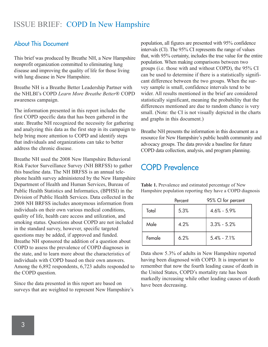#### About This Document

This brief was produced by Breathe NH, a New Hampshire nonprofit organization committed to eliminating lung disease and improving the quality of life for those living with lung disease in New Hampshire.

Breathe NH is a Breathe Better Leadership Partner with the NHLBI's COPD *Learn More Breathe Better*® COPD awareness campaign.

The information presented in this report includes the first COPD specific data that has been gathered in the state. Breathe NH recognized the necessity for gathering and analyzing this data as the first step in its campaign to help bring more attention to COPD and identify steps that individuals and organizations can take to better address the chronic disease.

Breathe NH used the 2008 New Hampshire Behavioral Risk Factor Surveillance Survey (NH BRFSS) to gather this baseline data. The NH BRFSS is an annual telephone health survey administered by the New Hampshire Department of Health and Human Services, Bureau of Public Health Statistics and Informatics, (BPHSI) in the Division of Public Health Services. Data collected in the 2008 NH BRFSS includes anonymous information from individuals on their own various medical conditions, quality of life, health care access and utilization, and smoking status. Questions about COPD are not included in the standard survey, however, specific targeted questions may be added, if approved and funded. Breathe NH sponsored the addition of a question about COPD to assess the prevalence of COPD diagnoses in the state, and to learn more about the characteristics of individuals with COPD based on their own answers. Among the 6,892 respondents, 6,723 adults responded to the COPD question.

Since the data presented in this report are based on surveys that are weighted to represent New Hampshire's population, all figures are presented with 95% confidence intervals (CI). The 95% CI represents the range of values that, with 95% certainty, includes the true value for the entire population. When making comparisons between two groups (i.e. those with and without COPD), the 95% CI can be used to determine if there is a statistically significant difference between the two groups. When the survey sample is small, confidence intervals tend to be wider. All results mentioned in the brief are considered statistically significant, meaning the probability that the differences mentioned are due to random chance is very small. (Note: the CI is not visually depicted in the charts and graphs in this document.)

Breathe NH presents the information in this document as a resource for New Hampshire's public health community and advocacy groups. The data provide a baseline for future COPD data collection, analysis, and program planning.

# COPD Prevalence

**Table 1.** Prevalence and estimated percentage of New Hampshire population reporting they have a COPD diagnosis

|        | Percent | 95% CI for percent |
|--------|---------|--------------------|
| Total  | 5.3%    | $4.6\% - 5.9\%$    |
| Male   | 4.2%    | $3.3\% - 5.2\%$    |
| Female | 6.2%    | $5.4\% - 7.1\%$    |

Data show 5.3% of adults in New Hampshire reported having been diagnosed with COPD. It is important to remember that now the fourth leading cause of death in the United States, COPD's mortality rate has been markedly increasing while other leading causes of death have been decreasing.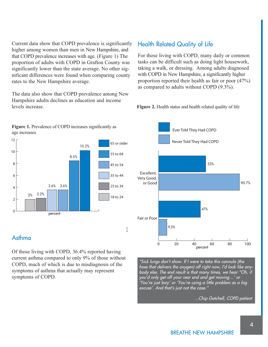Current data show that COPD prevalence is significantly higher among women than men in New Hampshire, and that COPD prevalence increases with age. (Figure 1) The proportion of adults with COPD in Grafton County was significantly lower than the state average. No other significant differences were found when comparing county rates to the New Hampshire average.

The data also show that COPD prevalence among New Hampshire adults declines as education and income levels increase.

#### **Figure 1.** Prevalence of COPD increases significantly as age increases



## Asthma

Of those living with COPD, 36.4% reported having current asthma compared to only 9% of those without COPD, much of which is due to misdiagnosis of the symptoms of asthma that actually may represent symptoms of COPD.

## Health Related Quality of Life

For those living with COPD, many daily or common tasks can be difficult such as doing light housework, taking a walk, or dressing. Among adults diagnosed with COPD in New Hampshire, a significantly higher proportion reported their health as fair or poor (47%) as compared to adults without COPD (9.3%).





"Sick lungs don't show. If I were to take this cannula (the hose that delivers the oxygen) off right now, I'd look like anybody else. The end result is that many times, we hear "Oh, if you'd only get off your rear end and get moving…' or 'You're just lazy' or 'You're using a little problem as a big excuse'. And that's just not the case."

...Chip Gatchell, COPD patient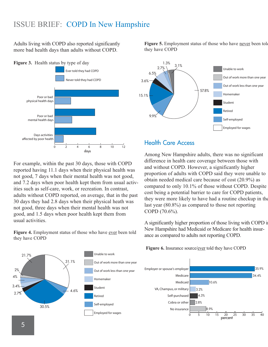Adults living with COPD also reported significantly more bad health days than adults without COPD.





For example, within the past 30 days, those with COPD reported having 11.1 days when their physical health was not good, 7 days when their mental health was not good, and 7.2 days when poor health kept them from usual activities such as self-care, work, or recreation. In contrast, adults without COPD reported, on average, that in the past 30 days they had 2.8 days when their physical heath was not good, three days when their mental health was not good, and 1.5 days when poor health kept them from usual activities.

Figure 4. Employment status of those who have ever been told they have COPD



Figure 5. Employment status of those who have never been tole they have COPD



#### Health Care Access

Among New Hampshire adults, there was no significant difference in health care coverage between those with and without COPD. However, a significantly higher proportion of adults with COPD said they were unable to obtain needed medical care because of cost (20.9%) as compared to only 10.1% of those without COPD. Despite cost being a potential barrier to care for COPD patients, they were more likely to have had a routine checkup in the last year (80.8%) as compared to those not reporting COPD (70.6%).

A significantly higher proportion of those living with COPD in New Hampshire had Medicaid or Medicare for health insurance as compared to adults not reporting COPD.

Figure 6. Insurance source/ever told they have COPD

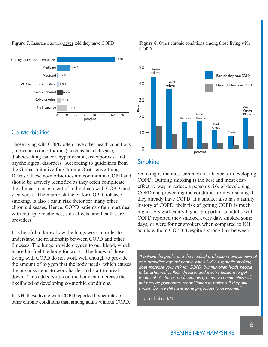

# Co-Morbidities

Those living with COPD often have other health conditions (known as co-morbidities) such as heart disease, diabetes, lung cancer, hypertension, osteoporosis, and psychological disorders. According to guidelines from the Global Initiative for Chronic Obstructive Lung Disease, these co-morbidities are common in COPD and should be actively identified as they often complicate the clinical management of individuals with COPD, and vice versa. The main risk factor for COPD, tobacco smoking, is also a main risk factor for many other chronic diseases. Hence, COPD patients often must deal with multiple medicines, side effects, and health care providers.

It is helpful to know how the lungs work in order to understand the relationship between COPD and other illnesses. The lungs provide oxygen to our blood, which is used to fuel the body for work. The lungs of those living with COPD do not work well enough to provide the amount of oxygen that the body needs, which causes the organ systems to work harder and start to break down. This added stress on the body can increase the likelihood of developing co-morbid conditions.

In NH, those living with COPD reported higher rates of other chronic conditions than among adults without COPD.

**Figure 7.** Insurance source/<u>never</u> told they have COPD **Figure 8.** Other chronic conditions among those living with **COPD** 



# Smoking

Smoking is the most common risk factor for developing COPD. Quitting smoking is the best and most costeffective way to reduce a person's risk of developing COPD and preventing the condition from worsening if they already have COPD. If a smoker also has a family history of COPD, their risk of getting COPD is much higher. A significantly higher proportion of adults with COPD reported they smoked every day, smoked some days, or were former smokers when compared to NH adults without COPD. Despite a strong link between

"I believe the public and the medical profession have somewhat of a prejudice against people with COPD. Cigarette smoking does increase your risk for COPD, but this often leads people to be ashamed of their disease, and they're hesitant to get treatment. As far as professionals go, many communities will not provide pulmonary rehabilitation to patients if they still smoke. So, we still have some prejudices to overcome."

...Deb Chabot, RN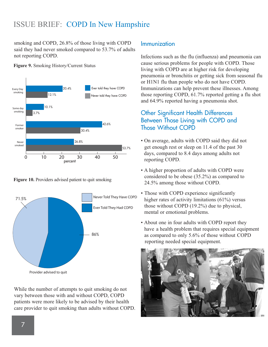smoking and COPD, 26.8% of those living with COPD said they had never smoked compared to 53.7% of adults not reporting COPD.

**Figure 9.** Smoking History/Current Status



**Figure 10.** Providers advised patient to quit smoking



While the number of attempts to quit smoking do not vary between those with and without COPD, COPD patients were more likely to be advised by their health care provider to quit smoking than adults without COPD.

#### Immunization

Infections such as the flu (influenza) and pneumonia can cause serious problems for people with COPD. Those living with COPD are at higher risk for developing pneumonia or bronchitis or getting sick from seasonal flu or H1N1 flu than people who do not have COPD. Immunizations can help prevent these illnesses. Among those reporting COPD, 61.7% reported getting a flu shot and 64.9% reported having a pneumonia shot.

#### Other Significant Health Differences Between Those Living with COPD and Those Without COPD

- On average, adults with COPD said they did not get enough rest or sleep on 11.4 of the past 30 days, compared to 8.4 days among adults not reporting COPD.
- A higher proportion of adults with COPD were considered to be obese (35.2%) as compared to 24.5% among those without COPD.
- Those with COPD experience significantly higher rates of activity limitations (61%) versus those without COPD (19.2%) due to physical, mental or emotional problems.
- About one in four adults with COPD report they have a health problem that requires special equipment as compared to only 5.6% of those without COPD reporting needed special equipment.

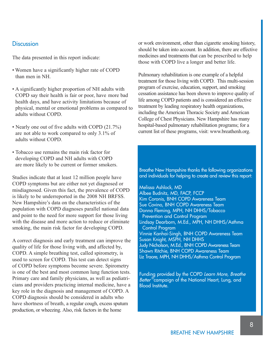#### **Discussion**

The data presented in this report indicate:

- Women have a significantly higher rate of COPD than men in NH.
- A significantly higher proportion of NH adults with COPD say their health is fair or poor, have more bad health days, and have activity limitations because of physical, mental or emotional problems as compared to adults without COPD.
- Nearly one out of five adults with COPD (21.7%) are not able to work compared to only 3.1% of adults without COPD.
- Tobacco use remains the main risk factor for developing COPD and NH adults with COPD are more likely to be current or former smokers.

Studies indicate that at least 12 million people have COPD symptoms but are either not yet diagnosed or misdiagnosed. Given this fact, the prevalence of COPD is likely to be underreported in the 2008 NH BRFSS. New Hampshire's data on the characteristics of the population with COPD diagnoses parallel national data and point to the need for more support for those living with the disease and more action to reduce or eliminate smoking, the main risk factor for developing COPD.

A correct diagnosis and early treatment can improve the quality of life for those living with, and affected by, COPD. A simple breathing test, called spirometry, is used to screen for COPD. This test can detect signs of COPD before symptoms become severe. Spirometry is one of the best and most common lung function tests. Primary care and family physicians, as well as pediatricians and providers practicing internal medicine, have a key role in the diagnosis and management of COPD. A COPD diagnosis should be considered in adults who have shortness of breath, a regular cough, excess sputum production, or wheezing. Also, risk factors in the home

or work environment, other than cigarette smoking history, should be taken into account. In addition, there are effective medicines and treatments that can be prescribed to help those with COPD live a longer and better life.

Pulmonary rehabilitation is one example of a helpful treatment for those living with COPD. This multi-session program of exercise, education, support, and smoking cessation assistance has been shown to improve quality of life among COPD patients and is considered an effective treatment by leading respiratory health organizations, including the American Thoracic Society and American College of Chest Physicians. New Hampshire has many hospital-based pulmonary rehabilitation programs; for a current list of these programs, visit: www.breathenh.org.

Breathe New Hampshire thanks the following organizations and individuals for helping to create and review this report:

Melissa Ashlock, MD Albee Budnitz, MD, FACP, FCCP Kim Coronis, BNH COPD Awareness Team Sue Covino, BNH COPD Awareness Team Donna Fleming, MPH, NH DHHS/Tobacco Prevention and Control Program Lindsay Dearborn, M.Ed., MPH, NH DHHS/Asthma Control Program Vinnie Kanhai-Singh, BNH COPD Awareness Team Susan Knight, MSPH, NH DHHS Judy Nicholson, M.Ed., BNH COPD Awareness Team Shawn Ritchie, BNH COPD Awareness Team Liz Traore, MPH, NH DHHS/Asthma Control Program

Funding provided by the COPD Learn More, Breathe Better ${}^{\mathbb{C}}$ campaign of the National Heart, Lung, and Blood Institute.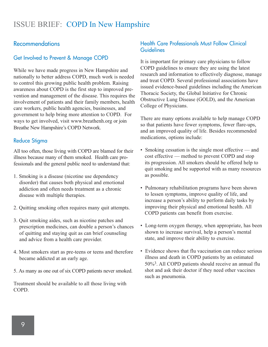#### **Recommendations**

#### Get Involved to Prevent & Manage COPD

While we have made progress in New Hampshire and nationally to better address COPD, much work is needed to control this growing public health problem. Raising awareness about COPD is the first step to improved prevention and management of the disease. This requires the involvement of patients and their family members, health care workers, public health agencies, businesses, and government to help bring more attention to COPD. For ways to get involved, visit www.breathenh.org or join Breathe New Hampshire's COPD Network.

#### Reduce Stigma

All too often, those living with COPD are blamed for their illness because many of them smoked. Health care professionals and the general public need to understand that:

- 1. Smoking is a disease (nicotine use dependency disorder) that causes both physical and emotional addiction and often needs treatment as a chronic disease with multiple therapies.
- 2. Quitting smoking often requires many quit attempts.
- 3. Quit smoking aides, such as nicotine patches and prescription medicines, can double a person's chances of quitting and staying quit as can brief counseling and advice from a health care provider.
- 4. Most smokers start as pre-teens or teens and therefore became addicted at an early age.
- 5. As many as one out of six COPD patients never smoked.

Treatment should be available to all those living with COPD.

#### Health Care Professionals Must Follow Clinical Guidelines

It is important for primary care physicians to follow COPD guidelines to ensure they are using the latest research and information to effectively diagnose, manage and treat COPD. Several professional associations have issued evidence-based guidelines including the American Thoracic Society, the Global Initiative for Chronic Obstructive Lung Disease (GOLD), and the American College of Physicians.

There are many options available to help manage COPD so that patients have fewer symptoms, fewer flare-ups, and an improved quality of life. Besides recommended medications, options include:

- Smoking cessation is the single most effective and cost effective — method to prevent COPD and stop its progression. All smokers should be offered help to quit smoking and be supported with as many resources as possible.
- Pulmonary rehabilitation programs have been shown to lessen symptoms, improve quality of life, and increase a person's ability to perform daily tasks by improving their physical and emotional health. All COPD patients can benefit from exercise.
- Long-term oxygen therapy, when appropriate, has been shown to increase survival, help a person's mental state, and improve their ability to exercise.
- Evidence shows that flu vaccination can reduce serious illness and death in COPD patients by an estimated 50%3. All COPD patients should receive an annual flu shot and ask their doctor if they need other vaccines such as pneumonia.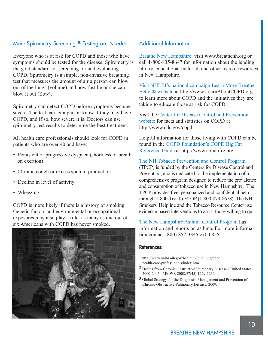#### More Spirometry Screening & Testing are Needed

Everyone who is at risk for COPD and those who have symptoms should be tested for the disease. Spirometry is the gold standard for screening for and evaluating COPD. Spirometry is a simple, non-invasive breathing test that measures the amount of air a person can blow out of the lungs (volume) and how fast he or she can blow it out (flow).

Spirometry can detect COPD before symptoms become severe. The test can let a person know if they may have COPD, and if so, how severe it is. Doctors can use spirometry test results to determine the best treatment.

All health care professionals should look for COPD in patients who are over 40 and have:

- Persistent or progressive dyspnea (shortness of breath on exertion)
- Chronic cough or excess sputum production
- Decline in level of activity
- Wheezing

COPD is more likely if there is a history of smoking. Genetic factors and environmental or occupational exposures may also play a role: as many as one out of six Americans with COPD has never smoked.



#### Additional Information:

Breathe New Hampshire: visit www.breathenh.org or call 1-800-835-8647 for information about the lending library, educational material, and other lists of resources in New Hampshire.

Visit NHLBI's national campaign Learn More Breathe Better® website at http://www.LearnAboutCOPD.org to learn more about COPD and the initiatives they are taking to educate those at risk for COPD.

Visit the Center for Disease Control and Prevention website for facts and statistics on COPD at http://www.cdc.gov/copd.

Helpful information for those living with COPD can be found in the COPD Foundation's COPD Big Fat Reference Guide at http://www.copdbfrg.org.

#### The NH Tobacco Prevention and Control Program

(TPCP) is funded by the Centers for Disease Control and Prevention, and is dedicated to the implementation of a comprehensive program designed to reduce the prevalence and consumption of tobacco use in New Hampshire. The TPCP provides free, personalized and confidential help through 1-800-Try-To-STOP (1-800-879-8678). The NH Smokers' Helpline and the Tobacco Resource Center use evidence-based interventions to assist those willing to quit.

The New Hampshire Asthma Control Program has information and reports on asthma. For more information contact (800) 852-3345 ext. 0855.

#### **References:**

- 1 http://www.nhlbi.nih.gov/health/public/lung/copd/ health-care-professionals/index.htm
- 2 Deaths from Chronic Obstructive Pulmonary Disease United States, 2000-2005. MMWR 2008;57(45):1229-1232.
- 3 Global Strategy for the Diagnosis, Management and Prevention of Chronic Obstructive Pulmonary Disease, 2009.